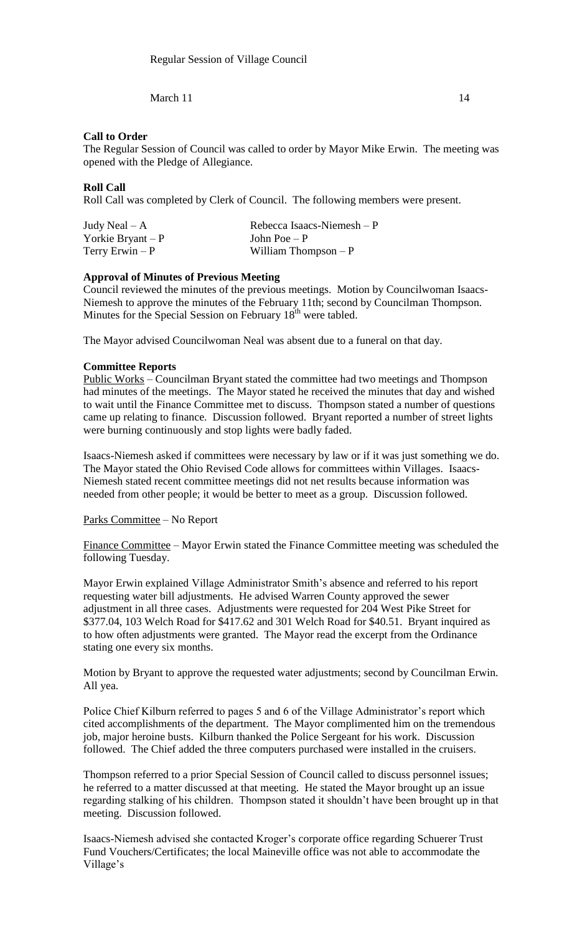March  $11$  14

## **Call to Order**

The Regular Session of Council was called to order by Mayor Mike Erwin. The meeting was opened with the Pledge of Allegiance.

# **Roll Call**

Roll Call was completed by Clerk of Council. The following members were present.

| Judy Neal $-A$      | Rebecca Isaacs-Niemesh $-P$ |
|---------------------|-----------------------------|
| Yorkie Bryant – $P$ | John Poe $-P$               |
| Terry Erwin $-P$    | William Thompson $-P$       |

# **Approval of Minutes of Previous Meeting**

Council reviewed the minutes of the previous meetings. Motion by Councilwoman Isaacs-Niemesh to approve the minutes of the February 11th; second by Councilman Thompson. Minutes for the Special Session on February  $18<sup>th</sup>$  were tabled.

The Mayor advised Councilwoman Neal was absent due to a funeral on that day.

### **Committee Reports**

Public Works – Councilman Bryant stated the committee had two meetings and Thompson had minutes of the meetings. The Mayor stated he received the minutes that day and wished to wait until the Finance Committee met to discuss. Thompson stated a number of questions came up relating to finance. Discussion followed. Bryant reported a number of street lights were burning continuously and stop lights were badly faded.

Isaacs-Niemesh asked if committees were necessary by law or if it was just something we do. The Mayor stated the Ohio Revised Code allows for committees within Villages. Isaacs-Niemesh stated recent committee meetings did not net results because information was needed from other people; it would be better to meet as a group. Discussion followed.

### Parks Committee – No Report

Finance Committee – Mayor Erwin stated the Finance Committee meeting was scheduled the following Tuesday.

Mayor Erwin explained Village Administrator Smith's absence and referred to his report requesting water bill adjustments. He advised Warren County approved the sewer adjustment in all three cases. Adjustments were requested for 204 West Pike Street for \$377.04, 103 Welch Road for \$417.62 and 301 Welch Road for \$40.51. Bryant inquired as to how often adjustments were granted. The Mayor read the excerpt from the Ordinance stating one every six months.

Motion by Bryant to approve the requested water adjustments; second by Councilman Erwin. All yea.

Police Chief Kilburn referred to pages 5 and 6 of the Village Administrator's report which cited accomplishments of the department. The Mayor complimented him on the tremendous job, major heroine busts. Kilburn thanked the Police Sergeant for his work. Discussion followed. The Chief added the three computers purchased were installed in the cruisers.

Thompson referred to a prior Special Session of Council called to discuss personnel issues; he referred to a matter discussed at that meeting. He stated the Mayor brought up an issue regarding stalking of his children. Thompson stated it shouldn't have been brought up in that meeting. Discussion followed.

Isaacs-Niemesh advised she contacted Kroger's corporate office regarding Schuerer Trust Fund Vouchers/Certificates; the local Maineville office was not able to accommodate the Village's